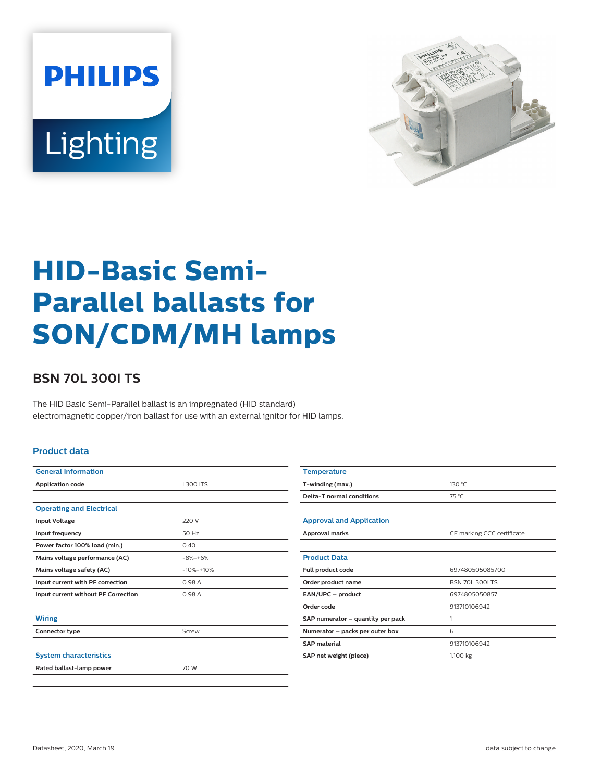



# **HID-Basic Semi-Parallel ballasts for SON/CDM/MH lamps**

## **BSN 70L 300I TS**

The HID Basic Semi-Parallel ballast is an impregnated (HID standard) electromagnetic copper/iron ballast for use with an external ignitor for HID lamps.

#### **Product data**

| <b>General Information</b>          |                 |  |  |
|-------------------------------------|-----------------|--|--|
| <b>Application code</b>             | <b>L300 ITS</b> |  |  |
|                                     |                 |  |  |
| <b>Operating and Electrical</b>     |                 |  |  |
| <b>Input Voltage</b>                | 220 V           |  |  |
| Input frequency                     | 50 Hz           |  |  |
| Power factor 100% load (min.)       | 0.40            |  |  |
| Mains voltage performance (AC)      | $-8% -+6%$      |  |  |
| Mains voltage safety (AC)           | $-10% -10%$     |  |  |
| Input current with PF correction    | 0.98 A          |  |  |
| Input current without PF Correction | 0.98 A          |  |  |
|                                     |                 |  |  |
| <b>Wiring</b>                       |                 |  |  |
| Connector type                      | Screw           |  |  |
|                                     |                 |  |  |
| <b>System characteristics</b>       |                 |  |  |
| Rated ballast-lamp power            | 70 W            |  |  |

| <b>Temperature</b>                |                            |  |  |
|-----------------------------------|----------------------------|--|--|
| T-winding (max.)                  | 130 °C                     |  |  |
| Delta-T normal conditions         | 75 °C                      |  |  |
|                                   |                            |  |  |
| <b>Approval and Application</b>   |                            |  |  |
| <b>Approval marks</b>             | CE marking CCC certificate |  |  |
|                                   |                            |  |  |
| <b>Product Data</b>               |                            |  |  |
| Full product code                 | 697480505085700            |  |  |
| Order product name                | <b>BSN 70L 300LTS</b>      |  |  |
| EAN/UPC - product                 | 6974805050857              |  |  |
| Order code                        | 913710106942               |  |  |
| SAP numerator - quantity per pack | 1                          |  |  |
| Numerator - packs per outer box   | 6                          |  |  |
| <b>SAP</b> material               | 913710106942               |  |  |
| SAP net weight (piece)            | 1.100 kg                   |  |  |
|                                   |                            |  |  |